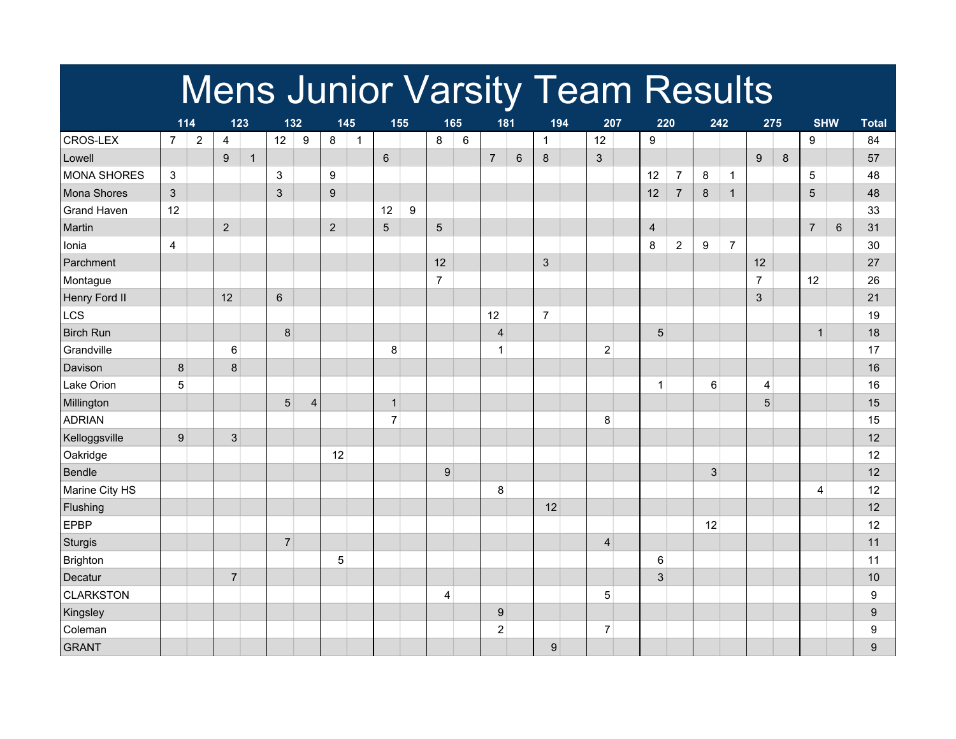|                    | <b>Mens Junior Varsity Team Results</b> |                |                |              |                |                |                |             |                |     |                |     |                |                |                |     |                |                |              |                |     |                |                |     |                |   |              |
|--------------------|-----------------------------------------|----------------|----------------|--------------|----------------|----------------|----------------|-------------|----------------|-----|----------------|-----|----------------|----------------|----------------|-----|----------------|----------------|--------------|----------------|-----|----------------|----------------|-----|----------------|---|--------------|
|                    |                                         | 114            |                | 123          |                | 132            |                | 145         |                | 155 |                | 165 |                | 181            |                | 194 | 207            |                | 220          |                | 242 |                |                | 275 | <b>SHW</b>     |   | <b>Total</b> |
| <b>CROS-LEX</b>    | $\overline{7}$                          | $\overline{2}$ | $\overline{4}$ |              | 12             | 9              | 8              | $\mathbf 1$ |                |     | 8              | 6   |                |                | $\mathbf{1}$   |     | 12             | 9              |              |                |     |                |                |     | 9              |   | 84           |
| Lowell             |                                         |                | 9              | $\mathbf{1}$ |                |                |                |             | $6\phantom{1}$ |     |                |     | $\overline{7}$ | $6\phantom{1}$ | 8              |     | 3              |                |              |                |     |                | 9              | 8   |                |   | 57           |
| <b>MONA SHORES</b> | 3                                       |                |                |              | 3              |                | 9              |             |                |     |                |     |                |                |                |     |                |                | 12           | $\overline{7}$ | 8   | $\mathbf{1}$   |                |     | 5              |   | 48           |
| Mona Shores        | $\mathfrak{S}$                          |                |                |              | $\mathbf{3}$   |                | 9              |             |                |     |                |     |                |                |                |     |                |                | 12           | $\overline{7}$ | 8   | $\mathbf{1}$   |                |     | 5              |   | 48           |
| <b>Grand Haven</b> | 12                                      |                |                |              |                |                |                |             | 12             | 9   |                |     |                |                |                |     |                |                |              |                |     |                |                |     |                |   | 33           |
| Martin             |                                         |                | $\overline{2}$ |              |                |                | $\overline{2}$ |             | $\sqrt{5}$     |     | 5              |     |                |                |                |     |                | $\overline{4}$ |              |                |     |                |                |     | $\overline{7}$ | 6 | 31           |
| Ionia              | 4                                       |                |                |              |                |                |                |             |                |     |                |     |                |                |                |     |                | 8              |              | $\overline{2}$ | 9   | $\overline{7}$ |                |     |                |   | 30           |
| Parchment          |                                         |                |                |              |                |                |                |             |                |     | 12             |     |                |                | 3              |     |                |                |              |                |     |                | 12             |     |                |   | 27           |
| Montague           |                                         |                |                |              |                |                |                |             |                |     | $\overline{7}$ |     |                |                |                |     |                |                |              |                |     |                | $\overline{7}$ |     | 12             |   | 26           |
| Henry Ford II      |                                         |                | 12             |              | $6\phantom{1}$ |                |                |             |                |     |                |     |                |                |                |     |                |                |              |                |     |                | 3              |     |                |   | 21           |
| <b>LCS</b>         |                                         |                |                |              |                |                |                |             |                |     |                |     | 12             |                | $\overline{7}$ |     |                |                |              |                |     |                |                |     |                |   | 19           |
| Birch Run          |                                         |                |                |              | 8              |                |                |             |                |     |                |     | $\overline{4}$ |                |                |     |                |                | 5            |                |     |                |                |     | $\overline{1}$ |   | 18           |
| Grandville         |                                         |                | 6              |              |                |                |                |             | 8              |     |                |     | 1              |                |                |     | 2              |                |              |                |     |                |                |     |                |   | 17           |
| Davison            | 8                                       |                | 8              |              |                |                |                |             |                |     |                |     |                |                |                |     |                |                |              |                |     |                |                |     |                |   | 16           |
| Lake Orion         | 5                                       |                |                |              |                |                |                |             |                |     |                |     |                |                |                |     |                |                | $\mathbf{1}$ |                | 6   |                | 4              |     |                |   | 16           |
| Millington         |                                         |                |                |              | 5              | $\overline{4}$ |                |             | $\mathbf{1}$   |     |                |     |                |                |                |     |                |                |              |                |     |                | 5              |     |                |   | 15           |
| <b>ADRIAN</b>      |                                         |                |                |              |                |                |                |             | $\overline{7}$ |     |                |     |                |                |                |     | 8              |                |              |                |     |                |                |     |                |   | 15           |
| Kelloggsville      | 9                                       |                | 3              |              |                |                |                |             |                |     |                |     |                |                |                |     |                |                |              |                |     |                |                |     |                |   | 12           |
| Oakridge           |                                         |                |                |              |                |                | 12             |             |                |     |                |     |                |                |                |     |                |                |              |                |     |                |                |     |                |   | 12           |
| Bendle             |                                         |                |                |              |                |                |                |             |                |     | 9              |     |                |                |                |     |                |                |              |                | 3   |                |                |     |                |   | 12           |
| Marine City HS     |                                         |                |                |              |                |                |                |             |                |     |                |     | 8              |                |                |     |                |                |              |                |     |                |                |     | 4              |   | 12           |
| Flushing           |                                         |                |                |              |                |                |                |             |                |     |                |     |                |                | 12             |     |                |                |              |                |     |                |                |     |                |   | 12           |
| <b>EPBP</b>        |                                         |                |                |              |                |                |                |             |                |     |                |     |                |                |                |     |                |                |              |                | 12  |                |                |     |                |   | 12           |
| Sturgis            |                                         |                |                |              | $\overline{7}$ |                |                |             |                |     |                |     |                |                |                |     | $\overline{4}$ |                |              |                |     |                |                |     |                |   | 11           |
| Brighton           |                                         |                |                |              |                |                | 5              |             |                |     |                |     |                |                |                |     |                |                | 6            |                |     |                |                |     |                |   | 11           |
| Decatur            |                                         |                | $\overline{7}$ |              |                |                |                |             |                |     |                |     |                |                |                |     |                |                | 3            |                |     |                |                |     |                |   | 10           |
| <b>CLARKSTON</b>   |                                         |                |                |              |                |                |                |             |                |     | 4              |     |                |                |                |     | 5              |                |              |                |     |                |                |     |                |   | 9            |
| Kingsley           |                                         |                |                |              |                |                |                |             |                |     |                |     | 9              |                |                |     |                |                |              |                |     |                |                |     |                |   | 9            |
| Coleman            |                                         |                |                |              |                |                |                |             |                |     |                |     | $\overline{2}$ |                |                |     | $\overline{7}$ |                |              |                |     |                |                |     |                |   | 9            |
| GRANT              |                                         |                |                |              |                |                |                |             |                |     |                |     |                |                | 9              |     |                |                |              |                |     |                |                |     |                |   | 9            |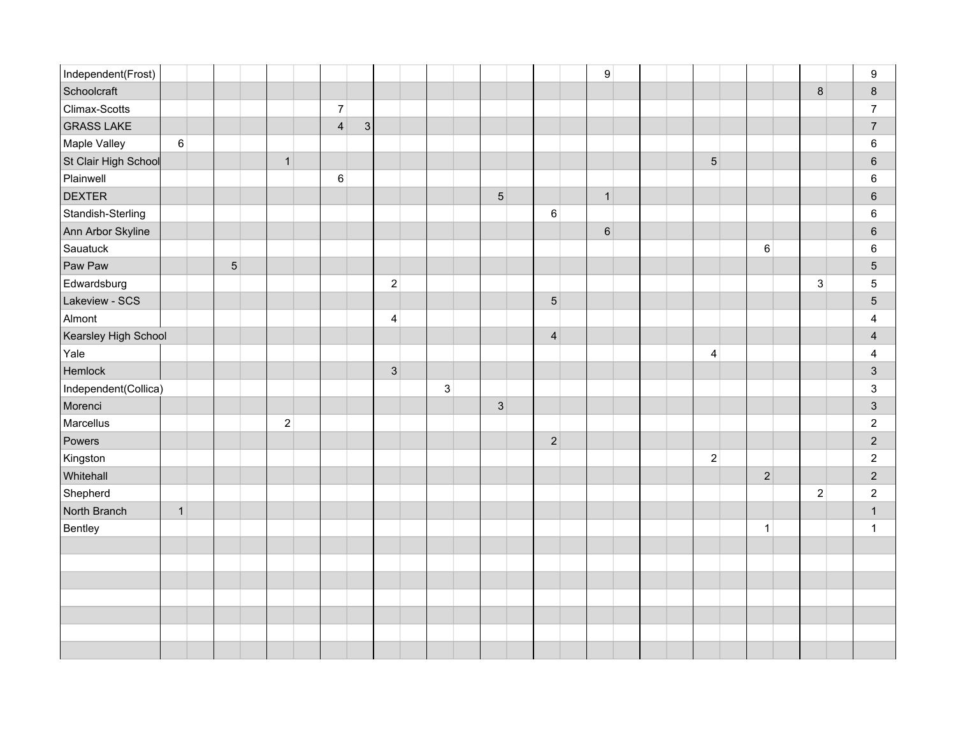| Independent(Frost)   |              |                |              |                |                |                  |             |                |                         | 9            |  |                |                |                | 9              |
|----------------------|--------------|----------------|--------------|----------------|----------------|------------------|-------------|----------------|-------------------------|--------------|--|----------------|----------------|----------------|----------------|
| Schoolcraft          |              |                |              |                |                |                  |             |                |                         |              |  |                |                | $\bf 8$        | $\bf 8$        |
| Climax-Scotts        |              |                |              | $\overline{7}$ |                |                  |             |                |                         |              |  |                |                |                | $\overline{7}$ |
| <b>GRASS LAKE</b>    |              |                |              | $\overline{4}$ | $\mathfrak{S}$ |                  |             |                |                         |              |  |                |                |                | $\overline{7}$ |
| Maple Valley         | $\,6\,$      |                |              |                |                |                  |             |                |                         |              |  |                |                |                | $\,6\,$        |
| St Clair High School |              |                | $\mathbf{1}$ |                |                |                  |             |                |                         |              |  | $\sqrt{5}$     |                |                | $\,6\,$        |
| Plainwell            |              |                |              | $\,6\,$        |                |                  |             |                |                         |              |  |                |                |                | $\,6$          |
| <b>DEXTER</b>        |              |                |              |                |                |                  |             | $\overline{5}$ |                         | $\mathbf{1}$ |  |                |                |                | $\,6\,$        |
| Standish-Sterling    |              |                |              |                |                |                  |             |                | $\,6\,$                 |              |  |                |                |                | $\,6\,$        |
| Ann Arbor Skyline    |              |                |              |                |                |                  |             |                |                         | $\,6\,$      |  |                |                |                | $6\phantom{a}$ |
| Sauatuck             |              |                |              |                |                |                  |             |                |                         |              |  |                | 6              |                | 6              |
| Paw Paw              |              | $\overline{5}$ |              |                |                |                  |             |                |                         |              |  |                |                |                | $\sqrt{5}$     |
| Edwardsburg          |              |                |              |                |                | $\boldsymbol{2}$ |             |                |                         |              |  |                |                | 3              | 5              |
| Lakeview - SCS       |              |                |              |                |                |                  |             |                | $\sqrt{5}$              |              |  |                |                |                | $\sqrt{5}$     |
| Almont               |              |                |              |                |                | 4                |             |                |                         |              |  |                |                |                | 4              |
| Kearsley High School |              |                |              |                |                |                  |             |                | $\overline{\mathbf{4}}$ |              |  |                |                |                | 4              |
| Yale                 |              |                |              |                |                |                  |             |                |                         |              |  | 4              |                |                | $\overline{4}$ |
| Hemlock              |              |                |              |                |                | $\sqrt{3}$       |             |                |                         |              |  |                |                |                | 3              |
| Independent(Collica) |              |                |              |                |                |                  | $\mathsf 3$ |                |                         |              |  |                |                |                | 3              |
| Morenci              |              |                |              |                |                |                  |             | $\mathbf{3}$   |                         |              |  |                |                |                | $\mathbf{3}$   |
| Marcellus            |              |                | $\sqrt{2}$   |                |                |                  |             |                |                         |              |  |                |                |                | $\overline{2}$ |
| Powers               |              |                |              |                |                |                  |             |                | $\sqrt{2}$              |              |  |                |                |                | $\overline{2}$ |
| Kingston             |              |                |              |                |                |                  |             |                |                         |              |  | $\overline{2}$ |                |                | $\overline{2}$ |
| Whitehall            |              |                |              |                |                |                  |             |                |                         |              |  |                | $\overline{2}$ |                | $\overline{2}$ |
| Shepherd             |              |                |              |                |                |                  |             |                |                         |              |  |                |                | $\overline{2}$ | 2              |
| North Branch         | $\mathbf{1}$ |                |              |                |                |                  |             |                |                         |              |  |                |                |                | $\mathbf{1}$   |
| Bentley              |              |                |              |                |                |                  |             |                |                         |              |  |                | $\mathbf{1}$   |                | $\mathbf 1$    |
|                      |              |                |              |                |                |                  |             |                |                         |              |  |                |                |                |                |
|                      |              |                |              |                |                |                  |             |                |                         |              |  |                |                |                |                |
|                      |              |                |              |                |                |                  |             |                |                         |              |  |                |                |                |                |
|                      |              |                |              |                |                |                  |             |                |                         |              |  |                |                |                |                |
|                      |              |                |              |                |                |                  |             |                |                         |              |  |                |                |                |                |
|                      |              |                |              |                |                |                  |             |                |                         |              |  |                |                |                |                |
|                      |              |                |              |                |                |                  |             |                |                         |              |  |                |                |                |                |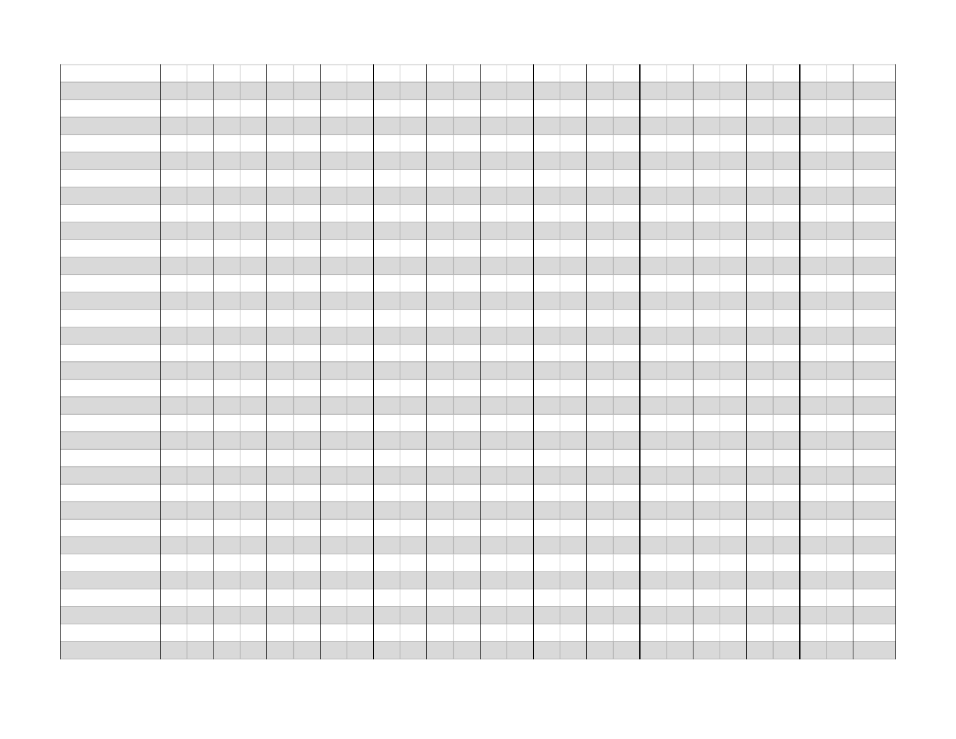| $\blacklozenge$<br>a a Tingga<br>$\mathbb{R}^n$ |
|-------------------------------------------------|
|                                                 |
|                                                 |
|                                                 |
|                                                 |
|                                                 |
|                                                 |
|                                                 |
|                                                 |
|                                                 |
|                                                 |
|                                                 |
|                                                 |
|                                                 |
|                                                 |
|                                                 |
|                                                 |
|                                                 |
|                                                 |
|                                                 |
|                                                 |
|                                                 |
|                                                 |
|                                                 |
|                                                 |
|                                                 |
|                                                 |
|                                                 |
|                                                 |
|                                                 |
|                                                 |
|                                                 |
|                                                 |
|                                                 |
|                                                 |
|                                                 |
|                                                 |
|                                                 |
|                                                 |
|                                                 |
|                                                 |
|                                                 |
|                                                 |
|                                                 |
|                                                 |
|                                                 |
|                                                 |
|                                                 |
|                                                 |
|                                                 |
|                                                 |